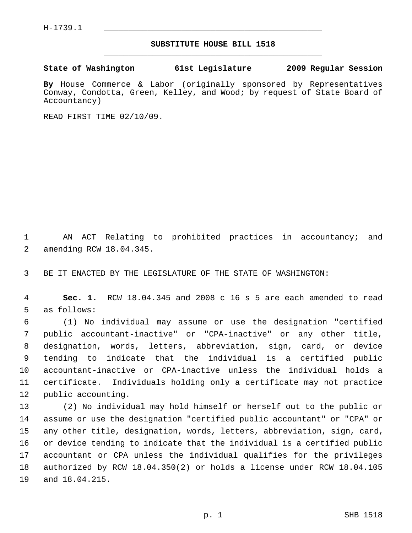## **SUBSTITUTE HOUSE BILL 1518** \_\_\_\_\_\_\_\_\_\_\_\_\_\_\_\_\_\_\_\_\_\_\_\_\_\_\_\_\_\_\_\_\_\_\_\_\_\_\_\_\_\_\_\_\_

## **State of Washington 61st Legislature 2009 Regular Session**

**By** House Commerce & Labor (originally sponsored by Representatives Conway, Condotta, Green, Kelley, and Wood; by request of State Board of Accountancy)

READ FIRST TIME 02/10/09.

 1 AN ACT Relating to prohibited practices in accountancy; and 2 amending RCW 18.04.345.

3 BE IT ENACTED BY THE LEGISLATURE OF THE STATE OF WASHINGTON:

 4 **Sec. 1.** RCW 18.04.345 and 2008 c 16 s 5 are each amended to read 5 as follows:

 6 (1) No individual may assume or use the designation "certified 7 public accountant-inactive" or "CPA-inactive" or any other title, 8 designation, words, letters, abbreviation, sign, card, or device 9 tending to indicate that the individual is a certified public 10 accountant-inactive or CPA-inactive unless the individual holds a 11 certificate. Individuals holding only a certificate may not practice 12 public accounting.

13 (2) No individual may hold himself or herself out to the public or 14 assume or use the designation "certified public accountant" or "CPA" or 15 any other title, designation, words, letters, abbreviation, sign, card, 16 or device tending to indicate that the individual is a certified public 17 accountant or CPA unless the individual qualifies for the privileges 18 authorized by RCW 18.04.350(2) or holds a license under RCW 18.04.105 19 and 18.04.215.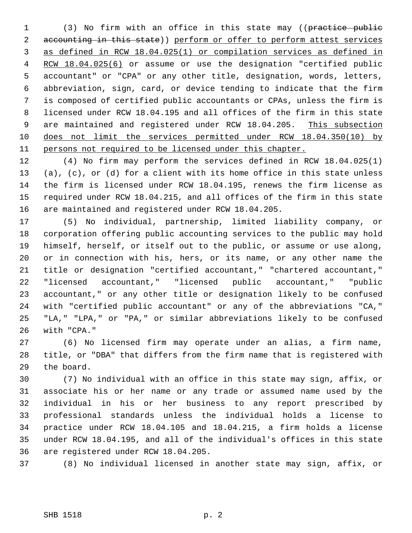1 (3) No firm with an office in this state may ((practice public 2 accounting in this state)) perform or offer to perform attest services 3 as defined in RCW 18.04.025(1) or compilation services as defined in 4 RCW 18.04.025(6) or assume or use the designation "certified public 5 accountant" or "CPA" or any other title, designation, words, letters, 6 abbreviation, sign, card, or device tending to indicate that the firm 7 is composed of certified public accountants or CPAs, unless the firm is 8 licensed under RCW 18.04.195 and all offices of the firm in this state 9 are maintained and registered under RCW 18.04.205. This subsection 10 does not limit the services permitted under RCW 18.04.350(10) by 11 persons not required to be licensed under this chapter.

12 (4) No firm may perform the services defined in RCW 18.04.025(1) 13 (a), (c), or (d) for a client with its home office in this state unless 14 the firm is licensed under RCW 18.04.195, renews the firm license as 15 required under RCW 18.04.215, and all offices of the firm in this state 16 are maintained and registered under RCW 18.04.205.

17 (5) No individual, partnership, limited liability company, or 18 corporation offering public accounting services to the public may hold 19 himself, herself, or itself out to the public, or assume or use along, 20 or in connection with his, hers, or its name, or any other name the 21 title or designation "certified accountant," "chartered accountant," 22 "licensed accountant," "licensed public accountant," "public 23 accountant," or any other title or designation likely to be confused 24 with "certified public accountant" or any of the abbreviations "CA," 25 "LA," "LPA," or "PA," or similar abbreviations likely to be confused 26 with "CPA."

27 (6) No licensed firm may operate under an alias, a firm name, 28 title, or "DBA" that differs from the firm name that is registered with 29 the board.

30 (7) No individual with an office in this state may sign, affix, or 31 associate his or her name or any trade or assumed name used by the 32 individual in his or her business to any report prescribed by 33 professional standards unless the individual holds a license to 34 practice under RCW 18.04.105 and 18.04.215, a firm holds a license 35 under RCW 18.04.195, and all of the individual's offices in this state 36 are registered under RCW 18.04.205.

37 (8) No individual licensed in another state may sign, affix, or